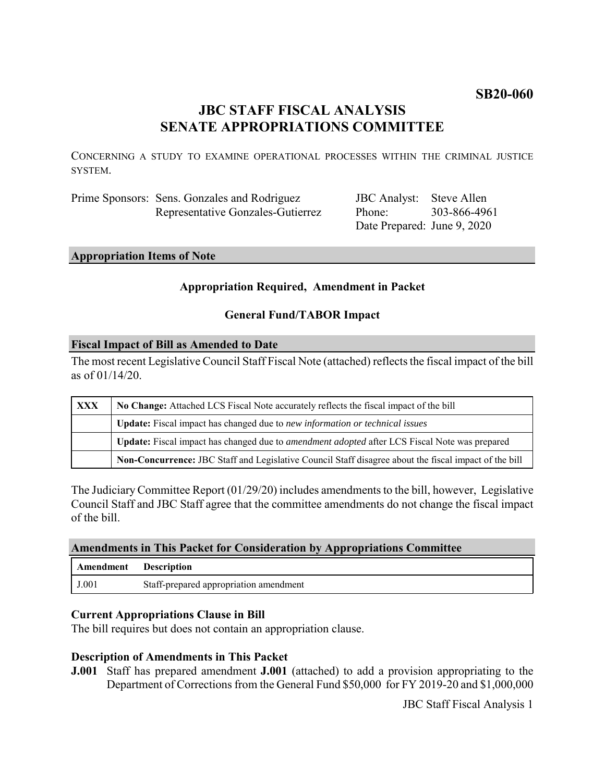# **SB20-060**

# **JBC STAFF FISCAL ANALYSIS SENATE APPROPRIATIONS COMMITTEE**

CONCERNING A STUDY TO EXAMINE OPERATIONAL PROCESSES WITHIN THE CRIMINAL JUSTICE **SYSTEM** 

| Prime Sponsors: Sens. Gonzales and Rodriguez |
|----------------------------------------------|
| Representative Gonzales-Gutierrez            |

JBC Analyst: Steve Allen Phone: Date Prepared: June 9, 2020 303-866-4961

# **Appropriation Items of Note**

# **Appropriation Required, Amendment in Packet**

# **General Fund/TABOR Impact**

# **Fiscal Impact of Bill as Amended to Date**

The most recent Legislative Council Staff Fiscal Note (attached) reflects the fiscal impact of the bill as of 01/14/20.

| XXX | No Change: Attached LCS Fiscal Note accurately reflects the fiscal impact of the bill                 |  |
|-----|-------------------------------------------------------------------------------------------------------|--|
|     | <b>Update:</b> Fiscal impact has changed due to new information or technical issues                   |  |
|     | Update: Fiscal impact has changed due to <i>amendment adopted</i> after LCS Fiscal Note was prepared  |  |
|     | Non-Concurrence: JBC Staff and Legislative Council Staff disagree about the fiscal impact of the bill |  |

The Judiciary Committee Report (01/29/20) includes amendments to the bill, however, Legislative Council Staff and JBC Staff agree that the committee amendments do not change the fiscal impact of the bill.

### **Amendments in This Packet for Consideration by Appropriations Committee**

| Amendment | <b>Description</b>                     |
|-----------|----------------------------------------|
| J.001     | Staff-prepared appropriation amendment |

# **Current Appropriations Clause in Bill**

The bill requires but does not contain an appropriation clause.

# **Description of Amendments in This Packet**

**J.001** Staff has prepared amendment **J.001** (attached) to add a provision appropriating to the Department of Corrections from the General Fund \$50,000 for FY 2019-20 and \$1,000,000